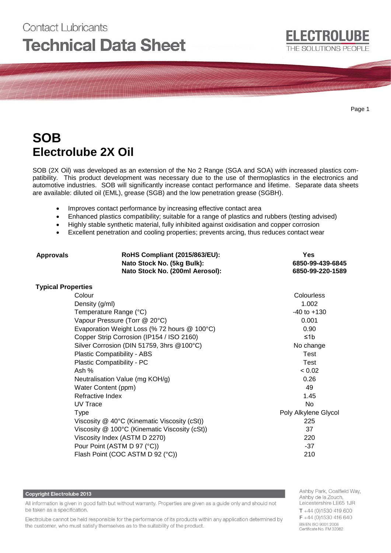# **Contact Lubricants Technical Data Sheet**

Page 1

# **SOB Electrolube 2X Oil**

SOB (2X Oil) was developed as an extension of the No 2 Range (SGA and SOA) with increased plastics compatibility. This product development was necessary due to the use of thermoplastics in the electronics and automotive industries. SOB will significantly increase contact performance and lifetime. Separate data sheets are available: diluted oil (EML), grease (SGB) and the low penetration grease (SGBH).

- Improves contact performance by increasing effective contact area
- Enhanced plastics compatibility; suitable for a range of plastics and rubbers (testing advised)
- Highly stable synthetic material, fully inhibited against oxidisation and copper corrosion
- Excellent penetration and cooling properties; prevents arcing, thus reduces contact wear

| <b>Approvals</b>          | <b>RoHS Compliant (2015/863/EU):</b><br>Nato Stock No. (5kg Bulk):<br>Nato Stock No. (200ml Aerosol): | Yes<br>6850-99-439-6845<br>6850-99-220-1589 |
|---------------------------|-------------------------------------------------------------------------------------------------------|---------------------------------------------|
| <b>Typical Properties</b> |                                                                                                       |                                             |
|                           | Colour                                                                                                | Colourless                                  |
|                           | Density (g/ml)                                                                                        | 1.002                                       |
|                           | Temperature Range (°C)                                                                                | $-40$ to $+130$                             |
|                           | Vapour Pressure (Torr @ 20°C)                                                                         | 0.001                                       |
|                           | Evaporation Weight Loss (% 72 hours @ 100°C)                                                          | 0.90                                        |
|                           | Copper Strip Corrosion (IP154 / ISO 2160)                                                             | ≤1b                                         |
|                           | Silver Corrosion (DIN 51759, 3hrs @100°C)                                                             | No change                                   |
|                           | Plastic Compatibility - ABS                                                                           | Test                                        |
|                           | Plastic Compatibility - PC                                                                            | Test                                        |
|                           | Ash %                                                                                                 | < 0.02                                      |
|                           | Neutralisation Value (mg KOH/g)                                                                       | 0.26                                        |
|                           | Water Content (ppm)                                                                                   | 49                                          |
|                           | Refractive Index                                                                                      | 1.45                                        |
|                           | UV Trace                                                                                              | No                                          |
|                           | <b>Type</b>                                                                                           | Poly Alkylene Glycol                        |
|                           | Viscosity $@$ 40°C (Kinematic Viscosity (cSt))                                                        | 225                                         |
|                           | Viscosity @ 100°C (Kinematic Viscosity (cSt))                                                         | 37                                          |
|                           | Viscosity Index (ASTM D 2270)                                                                         | 220                                         |
|                           | Pour Point (ASTM D 97 (°C))                                                                           | $-37$                                       |
|                           | Flash Point (COC ASTM D 92 (°C))                                                                      | 210                                         |

#### **Copyright Electrolube 2013**

All information is given in good faith but without warranty. Properties are given as a guide only and should not be taken as a specification.

Electrolube cannot be held responsible for the performance of its products within any application determined by the customer, who must satisfy themselves as to the suitability of the product.

Ashby Park, Coalfield Way, Ashby de la Zouch, Leicestershire LE65 1JR  $T + 44(0)1530419600$ F +44 (0)1530 416 640 BS EN ISO 9001:2008 Certificate No. FM 32082